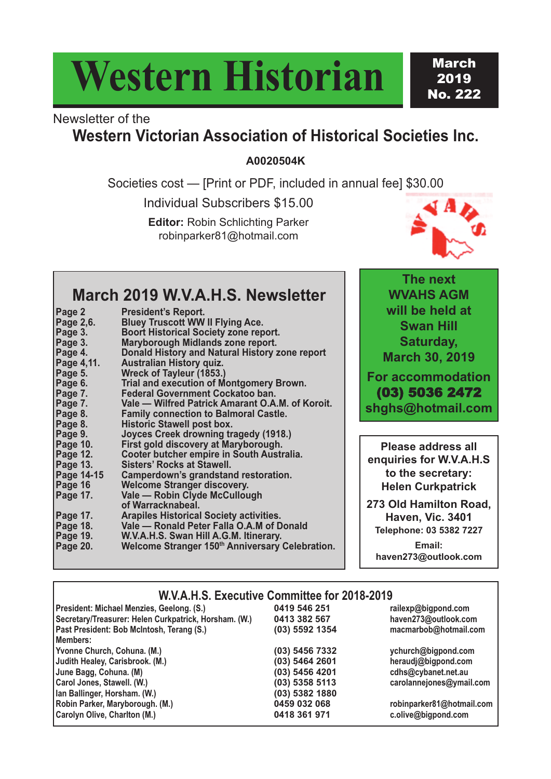# **Western Historian**

**March** 2019 No. 222

### Newsletter of the

### **Western Victorian Association of Historical Societies Inc.**

**A0020504K**

Societies cost — [Print or PDF, included in annual fee] \$30.00

Individual Subscribers \$15.00

**Editor:** Robin Schlichting Parker robinparker81@hotmail.com



### **March 2019 W.V.A.H.S. Newsletter**

| Page 2            | <b>President's Report.</b>                       |
|-------------------|--------------------------------------------------|
| <b>Page 2,6.</b>  | <b>Bluey Truscott WW II Flying Ace.</b>          |
| Page 3.           | <b>Boort Historical Society zone report.</b>     |
| Page 3.           | Maryborough Midlands zone report.                |
| Page 4.           | Donald History and Natural History zone report   |
| Page 4,11.        | <b>Australian History quiz.</b>                  |
| Page 5.           | Wreck of Tayleur (1853.)                         |
| Page 6.           | <b>Trial and execution of Montgomery Brown.</b>  |
| Page 7.           | Federal Government Cockatoo ban.                 |
| Page 7.           | Vale — Wilfred Patrick Amarant O.A.M. of Koroit. |
| Page 8.           | <b>Family connection to Balmoral Castle.</b>     |
| Page 8.           | <b>Historic Stawell post box.</b>                |
| Page 9.           | <b>Joyces Creek drowning tragedy (1918.)</b>     |
| <b>Page 10.</b>   | First gold discovery at Maryborough.             |
| Page 12.          | Cooter butcher empire in South Australia.        |
| <b>Page 13.</b>   | Sisters' Rocks at Stawell.                       |
| <b>Page 14-15</b> | Camperdown's grandstand restoration.             |
| Page 16           | <b>Welcome Stranger discovery.</b>               |
| Page 17.          | Vale - Robin Clyde McCullough                    |
|                   | of Warracknabeal.                                |
| <b>Page 17.</b>   | <b>Arapiles Historical Society activities.</b>   |
| <b>Page 18.</b>   | Vale - Ronald Peter Falla O.A.M of Donald        |
| <b>Page 19.</b>   | W.V.A.H.S. Swan Hill A.G.M. Itinerary.           |
| <b>Page 20.</b>   | Welcome Stranger 150th Anniversary Celebration.  |
|                   |                                                  |

**The next WVAHS AGM will be held at Swan Hill Saturday, March 30, 2019**

**For accommodation** (03) 5036 2472 **shghs@hotmail.com**

**Please address all enquiries for W.V.A.H.S to the secretary: Helen Curkpatrick**

**273 Old Hamilton Road, Haven, Vic. 3401 Telephone: 03 5382 7227**

**Email: haven273@outlook.com**

#### **W.V.A.H.S. Executive Committee for 2018-2019**

|  | President: Michael Menzies, Geelong. (S.)             | 0419 546 251     | railexp@bigpond.com       |  |
|--|-------------------------------------------------------|------------------|---------------------------|--|
|  | Secretary/Treasurer: Helen Curkpatrick, Horsham. (W.) | 0413 382 567     | haven273@outlook.com      |  |
|  | Past President: Bob McIntosh, Terang (S.)             | (03) 5592 1354   | macmarbob@hotmail.com     |  |
|  | Members:                                              |                  |                           |  |
|  | Yvonne Church, Cohuna. (M.)                           | (03) 5456 7332   | ychurch@bigpond.com       |  |
|  | Judith Healey, Carisbrook. (M.)                       | $(03)$ 5464 2601 | heraudj@bigpond.com       |  |
|  | June Bagg, Cohuna. (M)                                | (03) 5456 4201   | cdhs@cybanet.net.au       |  |
|  | Carol Jones, Stawell. (W.)                            | $(03)$ 5358 5113 | carolannejones@ymail.com  |  |
|  | Ian Ballinger, Horsham. (W.)                          | (03) 5382 1880   |                           |  |
|  | Robin Parker, Maryborough. (M.)                       | 0459 032 068     | robinparker81@hotmail.com |  |
|  | Carolyn Olive, Charlton (M.)                          | 0418 361 971     | c.olive@bigpond.com       |  |
|  |                                                       |                  |                           |  |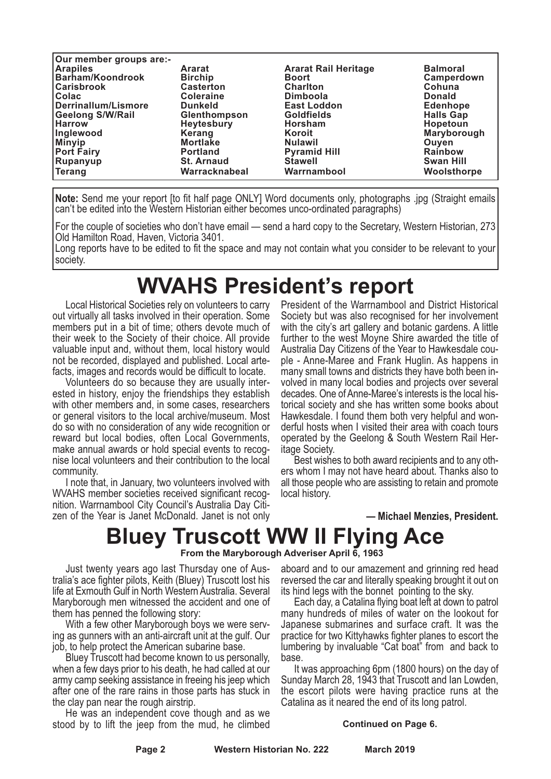| Our member groups are:- |                     |                             |                  |
|-------------------------|---------------------|-----------------------------|------------------|
| <b>Arapiles</b>         | Ararat              | <b>Ararat Rail Heritage</b> | <b>Balmoral</b>  |
| Barham/Koondrook        | <b>Birchip</b>      | <b>Boort</b>                | Camperdown       |
| <b>Carisbrook</b>       | <b>Casterton</b>    | <b>Charlton</b>             | Cohuna           |
| Colac                   | <b>Coleraine</b>    | <b>Dimboola</b>             | <b>Donald</b>    |
| Derrinallum/Lismore     | <b>Dunkeld</b>      | <b>East Loddon</b>          | <b>Edenhope</b>  |
| <b>Geelong S/W/Rail</b> | <b>Glenthompson</b> | <b>Goldfields</b>           | <b>Halls Gap</b> |
| Harrow                  | <b>Heytesbury</b>   | <b>Horsham</b>              | <b>Hopetoun</b>  |
| Inglewood               | Kerang              | Koroit                      | Maryborough      |
| <b>Minyip</b>           | <b>Mortlake</b>     | <b>Nulawil</b>              | Ouyen            |
| <b>Port Fairy</b>       | <b>Portland</b>     | <b>Pyramid Hill</b>         | <b>Rainbow</b>   |
| Rupanyup                | <b>St. Arnaud</b>   | <b>Stawell</b>              | <b>Swan Hill</b> |
| <b>Terang</b>           | Warracknabeal       | Warrnambool                 | Woolsthorpe      |

**Note:** Send me your report [to fit half page ONLY] Word documents only, photographs .jpg (Straight emails can't be edited into the Western Historian either becomes unco-ordinated paragraphs)

For the couple of societies who don't have email — send a hard copy to the Secretary, Western Historian, 273 Old Hamilton Road, Haven, Victoria 3401.

Long reports have to be edited to fit the space and may not contain what you consider to be relevant to your society.

### **WVAHS President's report**

Local Historical Societies rely on volunteers to carry out virtually all tasks involved in their operation. Some members put in a bit of time; others devote much of their week to the Society of their choice. All provide valuable input and, without them, local history would not be recorded, displayed and published. Local artefacts, images and records would be difficult to locate.

Volunteers do so because they are usually interested in history, enjoy the friendships they establish with other members and, in some cases, researchers or general visitors to the local archive/museum. Most do so with no consideration of any wide recognition or reward but local bodies, often Local Governments, make annual awards or hold special events to recognise local volunteers and their contribution to the local community.

I note that, in January, two volunteers involved with WVAHS member societies received significant recognition. Warrnambool City Council's Australia Day Citizen of the Year is Janet McDonald. Janet is not only President of the Warrnambool and District Historical Society but was also recognised for her involvement with the city's art gallery and botanic gardens. A little further to the west Moyne Shire awarded the title of Australia Day Citizens of the Year to Hawkesdale couple - Anne-Maree and Frank Huglin. As happens in many small towns and districts they have both been involved in many local bodies and projects over several decades. One of Anne-Maree's interests is the local historical society and she has written some books about Hawkesdale. I found them both very helpful and wonderful hosts when I visited their area with coach tours operated by the Geelong & South Western Rail Heritage Society.

Best wishes to both award recipients and to any others whom I may not have heard about. Thanks also to all those people who are assisting to retain and promote local history.

**— Michael Menzies, President.**

### **Bluey Truscott WW II Flying Ace**

**From the Maryborough Adveriser April 6, 1963**

Just twenty years ago last Thursday one of Australia's ace fighter pilots, Keith (Bluey) Truscott lost his life at Exmouth Gulf in North Western Australia. Several Maryborough men witnessed the accident and one of them has penned the following story:

With a few other Maryborough boys we were serving as gunners with an anti-aircraft unit at the gulf. Our job, to help protect the American subarine base.

Bluey Truscott had become known to us personally, when a few days prior to his death, he had called at our army camp seeking assistance in freeing his jeep which after one of the rare rains in those parts has stuck in the clay pan near the rough airstrip.

He was an independent cove though and as we stood by to lift the jeep from the mud, he climbed aboard and to our amazement and grinning red head reversed the car and literally speaking brought it out on its hind legs with the bonnet pointing to the sky.

Each day, a Catalina flying boat left at down to patrol many hundreds of miles of water on the lookout for Japanese submarines and surface craft. It was the practice for two Kittyhawks fighter planes to escort the lumbering by invaluable "Cat boat" from and back to base.

It was approaching 6pm (1800 hours) on the day of Sunday March 28, 1943 that Truscott and Ian Lowden, the escort pilots were having practice runs at the Catalina as it neared the end of its long patrol.

#### **Continued on Page 6.**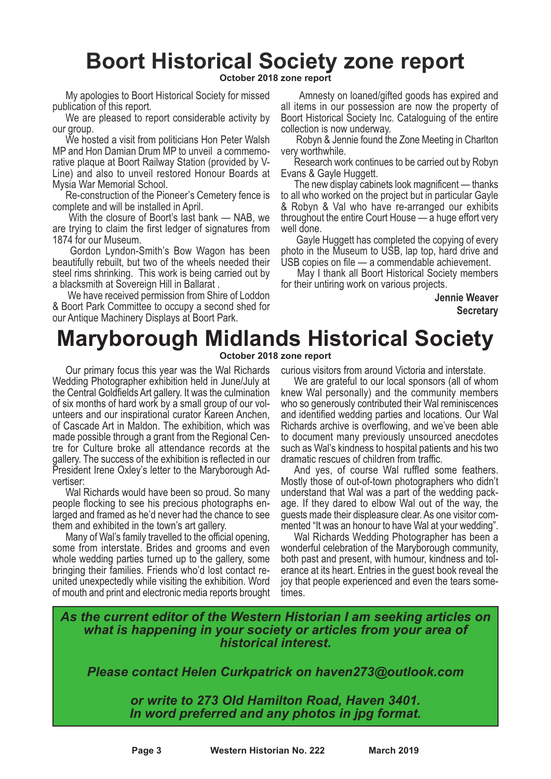## **Boort Historical Society zone report**

**October 2018 zone report**

My apologies to Boort Historical Society for missed publication of this report.

We are pleased to report considerable activity by our group.

We hosted a visit from politicians Hon Peter Walsh MP and Hon Damian Drum MP to unveil a commemorative plaque at Boort Railway Station (provided by V-Line) and also to unveil restored Honour Boards at Mysia War Memorial School.

Re-construction of the Pioneer's Cemetery fence is complete and will be installed in April.

With the closure of Boort's last bank — NAB, we are trying to claim the first ledger of signatures from 1874 for our Museum.

Gordon Lyndon-Smith's Bow Wagon has been beautifully rebuilt, but two of the wheels needed their steel rims shrinking. This work is being carried out by a blacksmith at Sovereign Hill in Ballarat .

We have received permission from Shire of Loddon & Boort Park Committee to occupy a second shed for our Antique Machinery Displays at Boort Park.

Amnesty on loaned/gifted goods has expired and all items in our possession are now the property of Boort Historical Society Inc. Cataloguing of the entire collection is now underway.

Robyn & Jennie found the Zone Meeting in Charlton very worthwhile.

Research work continues to be carried out by Robyn Evans & Gayle Huggett.

The new display cabinets look magnificent — thanks to all who worked on the project but in particular Gayle & Robyn & Val who have re-arranged our exhibits throughout the entire Court House — a huge effort very well done.

Gayle Huggett has completed the copying of every photo in the Museum to USB, lap top, hard drive and USB copies on file — a commendable achievement.

May I thank all Boort Historical Society members for their untiring work on various projects.

> **Jennie Weaver Secretary**

### **Maryborough Midlands Historical Society October 2018 zone report**

Our primary focus this year was the Wal Richards Wedding Photographer exhibition held in June/July at the Central Goldfields Art gallery. It was the culmination of six months of hard work by a small group of our volunteers and our inspirational curator Kareen Anchen, of Cascade Art in Maldon. The exhibition, which was made possible through <sup>a</sup> grant from the Regional Cen- tre for Culture broke all attendance records at the gallery. The success of the exhibition is reflected in our President Irene Oxley's letter to the Maryborough Advertiser:

Wal Richards would have been so proud. So many people flocking to see his precious photographs enlarged and framed as he'd never had the chance to see them and exhibited in the town's art gallery.

Many of Wal's family travelled to the official opening, some from interstate. Brides and grooms and even whole wedding parties turned up to the gallery, some bringing their families. Friends who'd lost contact reunited unexpectedly while visiting the exhibition. Word of mouth and print and electronic media reports brought curious visitors from around Victoria and interstate.

We are grateful to our local sponsors (all of whom knew Wal personally) and the community members who so generously contributed their Wal reminiscences and identified wedding parties and locations. Our Wal Richards archive is overflowing, and we've been able to document many previously unsourced anecdotes such as Wal's kindness to hospital patients and his two

dramatic rescues of children from traffic. And yes, of course Wal ruffled some feathers. Mostly those of out-of-town photographers who didn't understand that Wal was a part of the wedding package. If they dared to elbow Wal out of the way, the guests made their displeasure clear. As one visitor commented "It was an honour to have Wal at your wedding".

Wal Richards Wedding Photographer has been a wonderful celebration of the Maryborough community, both past and present, with humour, kindness and tolerance at its heart. Entries in the guest book reveal the joy that people experienced and even the tears sometimes.

*As the current editor of the Western Historian I am seeking articles on what is happening in your society or articles from your area of historical interest.*

*Please contact Helen Curkpatrick on haven273@outlook.com*

*or write to 273 Old Hamilton Road, Haven 3401. In word preferred and any photos in jpg format.*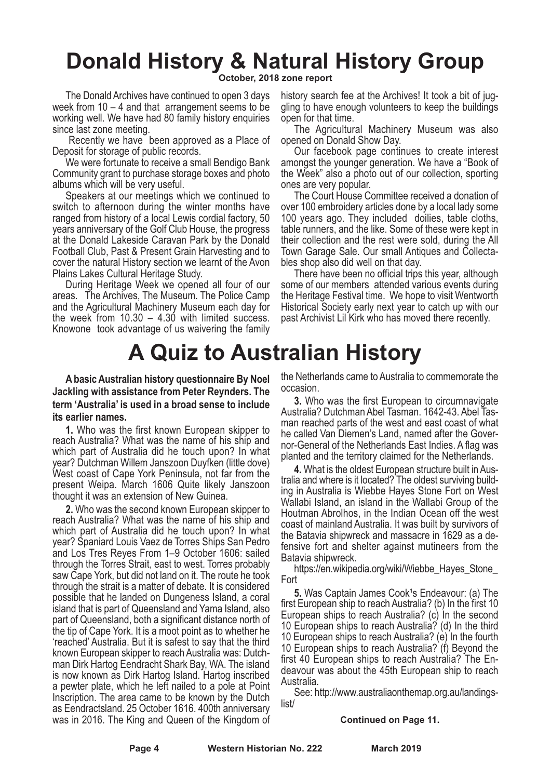# **Donald History & Natural History Group**

**October, 2018 zone report**

The Donald Archives have continued to open 3 days week from  $10 - 4$  and that arrangement seems to be working well. We have had 80 family history enquiries since last zone meeting.

Recently we have been approved as a Place of Deposit for storage of public records. We were fortunate to receive <sup>a</sup> small Bendigo Bank

Community grant to purchase storage boxes and photo albums which will be very useful. Speakers at our meetings which we continued to

switch to afternoon during the winter months have ranged from history of a local Lewis cordial factory, 50 years anniversary of the Golf Club House, the progress at the Donald Lakeside Caravan Park by the Donald Football Club, Past & Present Grain Harvesting and to cover the natural History section we learnt of the Avon Plains Lakes Cultural Heritage Study.

During Heritage Week we opened all four of our areas. The Archives, The Museum. The Police Camp and the Agricultural Machinery Museum each day for the week from  $10.30 - 4.30$  with limited success. Knowone took advantage of us waivering the family

## **A Quiz to Australian History**

**A basic Australian history questionnaire By Noel Jackling with assistance from Peter Reynders. The term 'Australia' is used in a broad sense to include its earlier names.**

**1.** Who was the first known European skipper to reach Australia? What was the name of his ship and which part of Australia did he touch upon? In what year? Dutchman Willem Janszoon Duyfken (little dove) West coast of Cape York Peninsula, not far from the present Weipa. March 1606 Quite likely Janszoon thought it was an extension of New Guinea.

**2.** Who was the second known European skipper to reach Australia? What was the name of his ship and which part of Australia did he touch upon? In what year? Spaniard Louis Vaez de Torres Ships San Pedro and Los Tres Reyes From 1–9 October 1606: sailed through the Torres Strait, east to west. Torres probably saw Cape York, but did not land on it. The route he took through the strait is a matter of debate. It is considered possible that he landed on Dungeness Island, a coral island that is part of Queensland and Yama Island, also part of Queensland, both a significant distance north of the tip of Cape York. It is <sup>a</sup> moot point as to whether he 'reached' Australia. But it is safest to say that the third known European skipper to reach Australia was: Dutch- man Dirk Hartog Eendracht Shark Bay, WA. The island is now known as Dirk Hartog Island. Hartog inscribed a pewter plate, which he left nailed to a pole at Point Inscription. The area came to be known by the Dutch as Eendractsland. 25 October 1616. 400th anniversary was in 2016. The King and Queen of the Kingdom of

history search fee at the Archives! It took a bit of juggling to have enough volunteers to keep the buildings open for that time.

The Agricultural Machinery Museum was also opened on Donald Show Day.

Our facebook page continues to create interest amongst the younger generation. We have a "Book of the Week" also a photo out of our collection, sporting ones are very popular.

The Court House Committee received a donation of over 100 embroidery articles done by a local lady some 100 years ago. They included doilies, table cloths, table runners, and the like. Some of these were kept in their collection and the rest were sold, during the All Town Garage Sale. Our small Antiques and Collectables shop also did well on that day.

There have been no official trips this year, although some of our members attended various events during the Heritage Festival time. We hope to visit Wentworth Historical Society early next year to catch up with our past Archivist Lil Kirk who has moved there recently.

the Netherlands came to Australia to commemorate the occasion.

**3.** Who was the first European to circumnavigate Australia? Dutchman Abel Tasman. 1642-43. Abel Tas- man reached parts of the west and east coast of what hor-General of the Netherlands East Indies. A flag was planted and the territory claimed for the Netherlands.

**4.** What is the oldest European structure built in Aus- tralia and where is it located? The oldest surviving building in Australia is Wiebbe Hayes Stone Fort on West Wallabi Island, an island in the Wallabi Group of the Houtman Abrolhos, in the Indian Ocean off the west coast of mainland Australia. It was built by survivors of the Batavia shipwreck and massacre in 1629 as a defensive fort and shelter against mutineers from the Batavia shipwreck.

https://en.wikipedia.org/wiki/Wiebbe\_Hayes\_Stone Fort

**5.** Was Captain James Cook<sup>1</sup>s Endeavour: (a) The first European ship to reach Australia? (b) In the first 10 European ships to reach Australia? (c) In the second 10 European ships to reach Australia? (d) In the third 10 European ships to reach Australia? (e) In the fourth 10 European ships to reach Australia? (f) Beyond the first 40 European ships to reach Australia? The Endeavour was about the 45th European ship to reach Australia.

See: http://www.australiaonthemap.org.au/landingslist/

#### **Continued on Page 11.**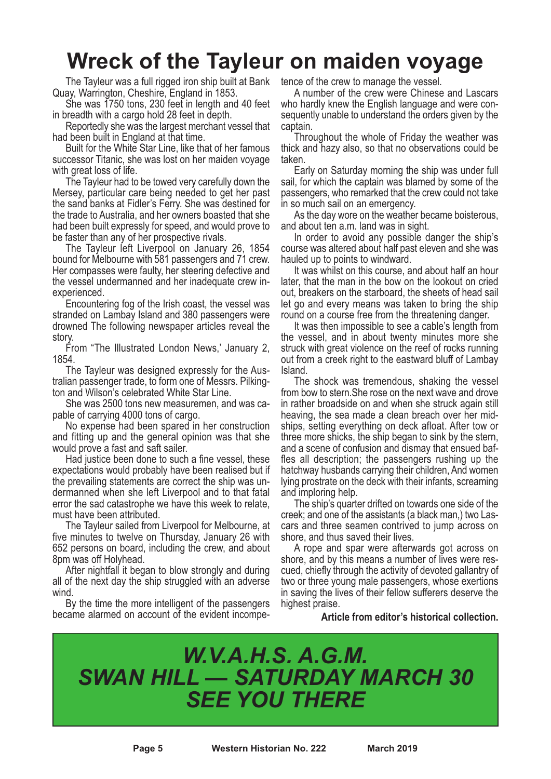## **Wreck of the Tayleur on maiden voyage**

The Tayleur was a full rigged iron ship built at Bank tence of the crew to manage the vessel.<br>Quay, Warrington, Cheshire, England in 1853. A number of the crew were Chinese

She was 1750 tons, 230 feet in length and 40 feet

in breadth with <sup>a</sup> cargo hold <sup>28</sup> feet in depth. Reportedly she was the largest merchant vessel that

had been built in England at that time.<br>Built for the White Star Line, like that of her famous successor Titanic, she was lost on her maiden voyage with great loss of life.

The Tayleur had to be towed very carefully down the Mersey, particular care being needed to get her past the sand banks at Fidler's Ferry. She was destined for the trade to Australia, and her owners boasted that she had been built expressly for speed, and would prove to be faster than any of her prospective rivals.

The Tayleur left Liverpool on January 26, 1854 bound for Melbourne with 581 passengers and 71 crew. Her compasses were faulty, her steering defective and the vessel undermanned and her inadequate crew inexperienced.

Encountering fog of the Irish coast, the vessel was stranded on Lambay Island and 380 passengers were drowned The following newspaper articles reveal the story.

From "The Illustrated London News,' January 2, 1854.

The Tayleur was designed expressly for the Australian passenger trade, to form one of Messrs. Pilkington and Wilson's celebrated White Star Line.

She was 2500 tons new measuremen, and was capable of carrying 4000 tons of cargo.

No expense had been spared in her construction and fitting up and the general opinion was that she would prove a fast and saft sailer.

Had justice been done to such a fine vessel, these expectations would probably have been realised but if the prevailing statements are correct the ship was undermanned when she left Liverpool and to that fatal error the sad catastrophe we have this week to relate, must have been attributed.

The Tayleur sailed from Liverpool for Melbourne, at five minutes to twelve on Thursday, January 26 with 652 persons on board, including the crew, and about 8pm was off Holyhead.

After nightfall it began to blow strongly and during all of the next day the ship struggled with an adverse wind.

By the time the more intelligent of the passengers became alarmed on account of the evident incompe-

A number of the crew were Chinese and Lascars who hardly knew the English language and were con-<br>sequently unable to understand the orders given by the captain. Throughout the whole of Friday the weather was

thick and hazy also, so that no observations could be taken.

Early on Saturday morning the ship was under full sail, for which the captain was blamed by some of the passengers, who remarked that the crew could not take in so much sail on an emergency.

As the day wore on the weather became boisterous, and about ten a.m. land was in sight.

In order to avoid any possible danger the ship's course was altered about half past eleven and she was hauled up to points to windward.

It was whilst on this course, and about half an hour later, that the man in the bow on the lookout on cried out, breakers on the starboard, the sheets of head sail let go and every means was taken to bring the ship round on a course free from the threatening danger.

It was then impossible to see a cable's length from the vessel, and in about twenty minutes more she struck with great violence on the reef of rocks running out from a creek right to the eastward bluff of Lambay Island.

The shock was tremendous, shaking the vessel from bow to stern.She rose on the next wave and drove in rather broadside on and when she struck again still heaving, the sea made a clean breach over her midships, setting everything on deck afloat. After tow or three more shicks, the ship began to sink by the stern, and a scene of confusion and dismay that ensued baffles all description; the passengers rushing up the hatchway husbands carrying their children, And women lying prostrate on the deck with their infants, screaming and imploring help.

The ship's quarter drifted on towards one side of the creek; and one of the assistants (a black man,) two Lascars and three seamen contrived to jump across on shore, and thus saved their lives.

A rope and spar were afterwards got across on shore, and by this means a number of lives were rescued, chiefly through the activity of devoted gallantry of two or three young male passengers, whose exertions in saving the lives of their fellow sufferers deserve the highest praise.

#### **Article from editor's historical collection.**

### *W.V.A.H.S. A.G.M. SWAN HILL — SATURDAY MARCH 30 SEE YOU THERE*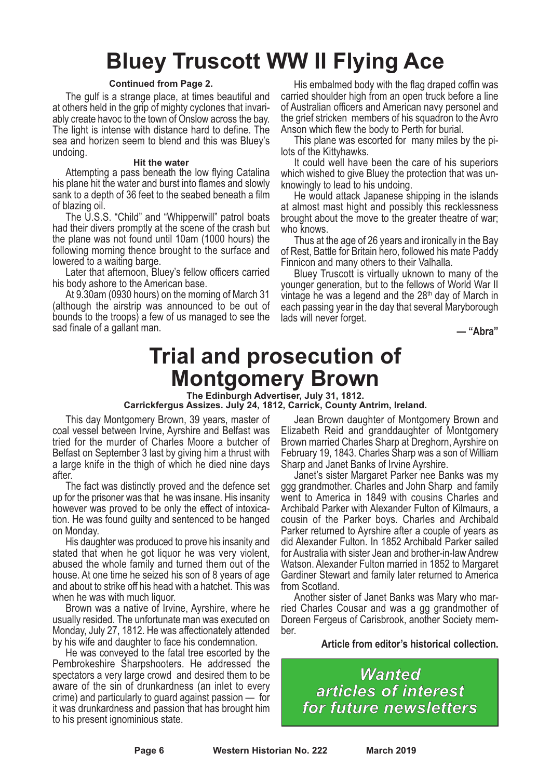# **Bluey Truscott WW II Flying Ace**

#### **Continued from Page 2.**

The gulf is a strange place, at times beautiful and at others held in the grip of mighty cyclones that invariably create havoc to the town of Onslow across the bay. The light is intense with distance hard to define. The sea and horizen seem to blend and this was Bluey's undoing.

#### **Hit the water**

Attempting a pass beneath the low flying Catalina his plane hit the water and burst into flames and slowly sank to a depth of 36 feet to the seabed beneath a film

of blazing oil. The U.S.S. "Child" and "Whipperwill" patrol boats had their divers promptly at the scene of the crash but the plane was not found until 10am (1000 hours) the following morning thence brought to the surface and lowered to <sup>a</sup> waiting barge. Later that afternoon, Bluey's fellow officers carried

his body ashore to the American base.<br>At 9.30am (0930 hours) on the morning of March 31 (although the airstrip was announced to be out of bounds to the troops) a few of us managed to see the sad finale of a gallant man.

His embalmed body with the flag draped coffin was carried shoulder high from an open truck before a line of Australian officers and American navy personel and the grief stricken members of his squadron to the Avro

Anson which flew the body to Perth for burial.<br>This plane was escorted for many miles by the pi-<br>lots of the Kittyhawks.

It could well have been the care of his superiors which wished to give Bluey the protection that was unknowingly to lead to his undoing.

He would attack Japanese shipping in the islands at almost mast hight and possibly this recklessness brought about the move to the greater theatre of war; who knows.

Thus at the age of 26 years and ironically in the Bay of Rest, Battle for Britain hero, followed his mate Paddy Finnicon and many others to their Valhalla.

Bluey Truscott is virtually uknown to many of the younger generation, but to the fellows of World War II vintage he was a legend and the  $28<sup>th</sup>$  day of March in each passing year in the day that several Maryborough lads will never forget.

**— "Abra"**

### **Trial and prosecution of Montgomery Brown**

#### **The Edinburgh Advertiser, July 31, 1812. Carrickfergus Assizes. July 24, 1812, Carrick, County Antrim, Ireland.**

This day Montgomery Brown, 39 years, master of coal vessel between Irvine, Ayrshire and Belfast was tried for the murder of Charles Moore a butcher of Belfast on September 3 last by giving him a thrust with a large knife in the thigh of which he died nine days after.

The fact was distinctly proved and the defence set up for the prisoner was that he was insane. His insanity however was proved to be only the effect of intoxica- tion. He was found guilty and sentenced to be hanged on Monday. His daughter was produced to prove his insanity and

stated that when he got liquor he was very violent, abused the whole family and turned them out of the house. At one time he seized his son of 8 years of age and about to strike off his head with a hatchet. This was

when he was with much liquor.<br>Brown was a native of Irvine, Ayrshire, where he usually resided. The unfortunate man was executed on Monday, July 27, 1812. He was affectionately attended

by his wife and daughter to face his condemnation. He was conveyed to the fatal tree escorted by the Pembrokeshire Sharpshooters. He addressed the spectators a very large crowd and desired them to be aware of the sin of drunkardness (an inlet to every crime) and particularly to guard against passion — for it was drunkardness and passion that has brought him to his present ignominious state.

Jean Brown daughter of Montgomery Brown and Elizabeth Reid and granddaughter of Montgomery Brown married Charles Sharp at Dreghorn, Ayrshire on February 19, 1843. Charles Sharp was a son of William Sharp and Janet Banks of Irvine Ayrshire. Janet's sister Margaret Parker nee Banks was my

ggg grandmother. Charles and John Sharp and family went to America in 1849 with cousins Charles and Archibald Parker with Alexander Fulton of Kilmaurs, a cousin of the Parker boys. Charles and Archibald Parker returned to Ayrshire after a couple of years as did Alexander Fulton. In 1852 Archibald Parker sailed for Australia with sister Jean and brother-in-lawAndrew Watson. Alexander Fulton married in 1852 to Margaret Gardiner Stewart and family later returned to America

from Scotland. Another sister of Janet Banks was Mary who mar- ried Charles Cousar and was <sup>a</sup> gg grandmother of Doreen Fergeus of Carisbrook, another Society mem- ber.

**Article from editor's historical collection.**

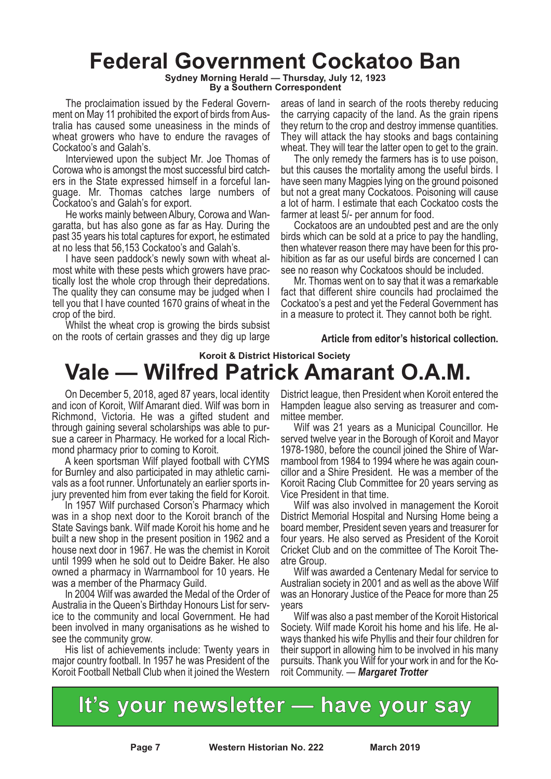### **Federal Government Cockatoo Ban**

**Sydney Morning Herald — Thursday, July 12, 1923**

**By a Southern Correspondent**

The proclaimation issued by the Federal Government on May 11 prohibited the export of birds from Australia has caused some uneasiness in the minds of wheat growers who have to endure the ravages of Cockatoo's and Galah's.

Interviewed upon the subject Mr. Joe Thomas of Corowa who is amongst the most successful bird catchers in the State expressed himself in a forceful language. Mr. Thomas catches large numbers of Cockatoo's and Galah's for export.

He works mainly between Albury, Corowa and Wangaratta, but has also gone as far as Hay. During the past 35 years his total captures for export, he estimated at no less that 56,153 Cockatoo's and Galah's.

I have seen paddock's newly sown with wheat almost white with these pests which growers have practically lost the whole crop through their depredations. The quality they can consume may be judged when I tell you that I have counted 1670 grains of wheat in the crop of the bird.

Whilst the wheat crop is growing the birds subsist on the roots of certain grasses and they dig up large areas of land in search of the roots thereby reducing the carrying capacity of the land. As the grain ripens they return to the crop and destroy immense quantities. They will attack the hay stooks and bags containing wheat. They will tear the latter open to get to the grain.

The only remedy the farmers has is to use poison, but this causes the mortality among the useful birds. I have seen many Magpies lying on the ground poisoned but not a great many Cockatoos. Poisoning will cause a lot of harm. I estimate that each Cockatoo costs the farmer at least 5/- per annum for food.

Cockatoos are an undoubted pest and are the only birds which can be sold at a price to pay the handling, then whatever reason there may have been for this prohibition as far as our useful birds are concerned I can see no reason why Cockatoos should be included.

Mr. Thomas went on to say that it was a remarkable fact that different shire councils had proclaimed the Cockatoo's a pest and yet the Federal Government has in a measure to protect it. They cannot both be right.

#### **Article from editor's historical collection.**

### **Koroit & District Historical Society Vale — Wilfred Patrick Amarant O.A.M.**

On December 5, 2018, aged 87 years, local identity and icon of Koroit, Wilf Amarant died. Wilf was born in Richmond, Victoria. He was a gifted student and through gaining several scholarships was able to pur- sue <sup>a</sup> career in Pharmacy. He worked for <sup>a</sup> local Rich- mond pharmacy prior to coming to Koroit. <sup>A</sup> keen sportsman Wilf played football with CYMS

for Burnley and also participated in may athletic carni- vals as <sup>a</sup> foot runner. Unfortunately an earlier sports in- jury prevented him from ever taking the field for Koroit. In <sup>1957</sup> Wilf purchased Corson's Pharmacy which

was in a shop next door to the Koroit branch of the State Savings bank. Wilf made Koroit his home and he built a new shop in the present position in 1962 and a house next door in 1967. He was the chemist in Koroit until 1999 when he sold out to Deidre Baker. He also owned a pharmacy in Warrnambool for 10 years. He was a member of the Pharmacy Guild.

In 2004 Wilf was awarded the Medal of the Order of<br>Australia in the Queen's Birthday Honours List for service to the community and local Government. He had been involved in many organisations as he wished to

see the community grow. His list of achievements include: Twenty years in major country football. In 1957 he was President of the Koroit Football Netball Club when it joined the Western District league, then President when Koroit entered the Hampden league also serving as treasurer and com- mittee member. Wilf was <sup>21</sup> years as <sup>a</sup> Municipal Councillor. He

served twelve year in the Borough of Koroit and Mayor 1978-1980, before the council joined the Shire of War- rnambool from <sup>1984</sup> to <sup>1994</sup> where he was again coun- cillor and <sup>a</sup> Shire President. He was <sup>a</sup> member of the Koroit Racing Club Committee for 20 years serving as

Vice President in that time. Wilf was also involved in management the Koroit District Memorial Hospital and Nursing Home being a board member, President seven years and treasurer for four years. He also served as President of the Koroit Cricket Club and on the committee of The Koroit The- atre Group. Wilf was awarded <sup>a</sup> Centenary Medal for service to

Australian society in 2001 and as well as the above Wilf was an Honorary Justice of the Peace for more than 25 years

Wilf was also a past member of the Koroit Historical Society. Wilf made Koroit his home and his life. He al- ways thanked his wife Phyllis and their four children for their support in allowing him to be involved in his many pursuits. Thank you Wilf for your work in and for the Ko- roit Community. — *Margaret Trotter*

**It's your newsletter — have your say**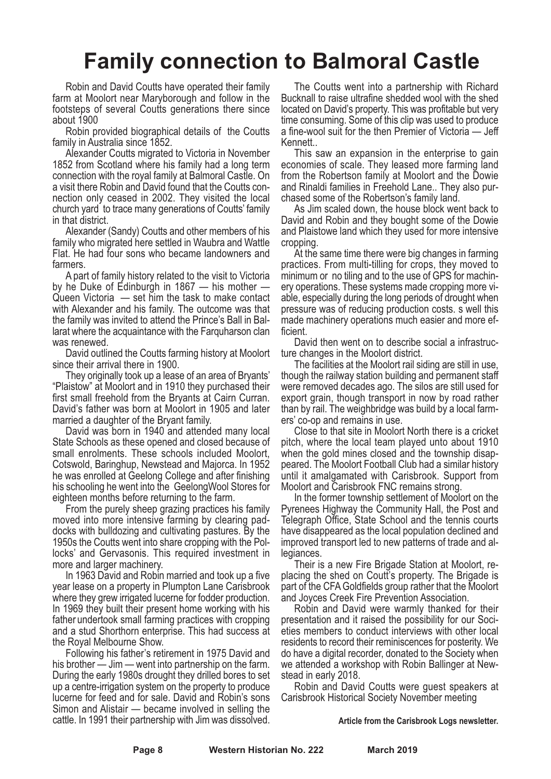# **Family connection to Balmoral Castle**

Robin and David Coutts have operated their family farm at Moolort near Maryborough and follow in the footsteps of several Coutts generations there since about 1900

Robin provided biographical details of the Coutts family in Australia since 1852.

Alexander Coutts migrated to Victoria in November 1852 from Scotland where his family had a long term connection with the royal family at Balmoral Castle. On a visit there Robin and David found that the Coutts connection only ceased in 2002. They visited the local church yard to trace many generations of Coutts' family in that district.

Alexander (Sandy) Coutts and other members of his family who migrated here settled in Waubra and Wattle Flat. He had four sons who became landowners and farmers.

A part of family history related to the visit to Victoria by he Duke of Edinburgh in 1867 — his mother — Queen Victoria — set him the task to make contact with Alexander and his family. The outcome was that the family was invited to attend the Prince's Ball in Ballarat where the acquaintance with the Farquharson clan was renewed.

David outlined the Coutts farming history at Moolort since their arrival there in 1900.

They originally took up a lease of an area of Bryants' "Plaistow" at Moolort and in 1910 they purchased their first small freehold from the Bryants at Cairn Curran. David's father was born at Moolort in 1905 and later

married <sup>a</sup> daughter of the Bryant family. David was born in <sup>1940</sup> and attended many local State Schools as these opened and closed because of small enrolments. These schools included Moolort, Cotswold, Baringhup, Newstead and Majorca. In <sup>1952</sup> he was enrolled at Geelong College and after finishing his schooling he went into the GeelongWool Stores for eighteen months before returning to the farm.

From the purely sheep grazing practices his family moved into more intensive farming by clearing paddocks with bulldozing and cultivating pastures. By the 1950s the Coutts went into share cropping with the Pollocks' and Gervasonis. This required investment in more and larger machinery.

In 1963 David and Robin married and took up a five year lease on a property in Plumpton Lane Carisbrook where they grew irrigated lucerne for fodder production. In 1969 they built their present home working with his father undertook small farming practices with cropping and a stud Shorthorn enterprise. This had success at the Royal Melbourne Show.

Following his father's retirement in 1975 David and his brother — Jim — went into partnership on the farm. During the early 1980s drought they drilled bores to set up a centre-irrigation system on the property to produce lucerne for feed and for sale. David and Robin's sons Simon and Alistair — became involved in selling the cattle. In 1991 their partnership with Jim was dissolved.

The Coutts went into a partnership with Richard Bucknall to raise ultrafine shedded wool with the shed located on David's property. This was profitable but very time consuming. Some of this clip was used to produce a fine-wool suit for the then Premier of Victoria — Jeff Kennett..

This saw an expansion in the enterprise to gain economies of scale. They leased more farming land from the Robertson family at Moolort and the Dowie and Rinaldi families in Freehold Lane.. They also purchased some of the Robertson's family land.

As Jim scaled down, the house block went back to David and Robin and they bought some of the Dowie and Plaistowe land which they used for more intensive cropping.

At the same time there were big changes in farming practices. From multi-tilling for crops, they moved to minimum or no tiling and to the use of GPS for machinery operations. These systems made cropping more viable, especially during the long periods of drought when pressure was of reducing production costs. s well this made machinery operations much easier and more efficient.

David then went on to describe social a infrastructure changes in the Moolort district.

The facilities at the Moolort rail siding are still in use, though the railway station building and permanent staff were removed decades ago. The silos are still used for export grain, though transport in now by road rather than by rail. The weighbridge was build by a local farm-

ers' co-op and remains in use. Close to that site in Moolort North there is <sup>a</sup> cricket pitch, where the local team played unto about 1910 when the gold mines closed and the township disap-<br>peared. The Moolort Football Club had a similar history until it amalgamated with Carisbrook. Support from Moolort and Carisbrook FNC remains strong.

In the former township settlement of Moolort on the Pyrenees Highway the Community Hall, the Post and Telegraph Office, State School and the tennis courts have disappeared as the local population declined and improved transport led to new patterns of trade and allegiances.

Their is a new Fire Brigade Station at Moolort, replacing the shed on Coutt's property. The Brigade is part of the CFAGoldfields group rather that the Moolort and Joyces Creek Fire Prevention Association.

Robin and David were warmly thanked for their presentation and it raised the possibility for our Societies members to conduct interviews with other local residents to record their reminiscences for posterity. We do have a digital recorder, donated to the Society when we attended a workshop with Robin Ballinger at Newstead in early 2018.

Robin and David Coutts were guest speakers at Carisbrook Historical Society November meeting

#### **Article from the Carisbrook Logs newsletter.**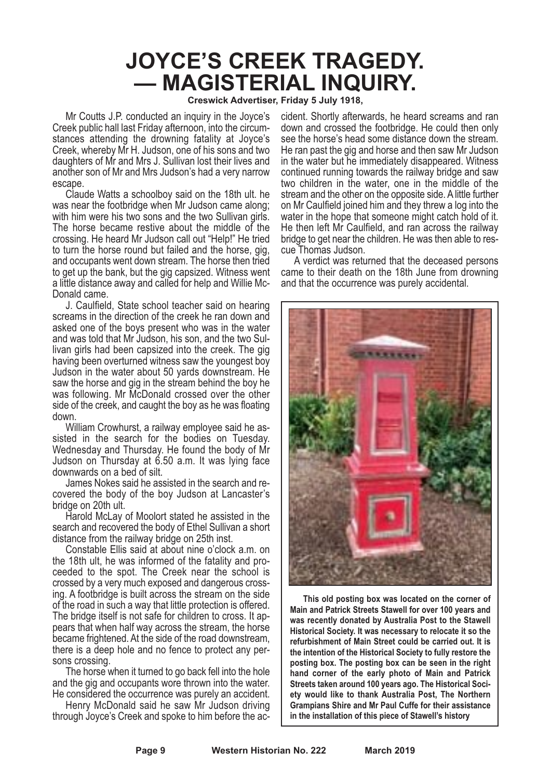# **JOYCE'S CREEK TRAGEDY. — MAGISTERIAL INQUIRY.**

**Creswick Advertiser, Friday 5 July 1918,**

Mr Coutts J.P. conducted an inquiry in the Joyce's Creek public hall last Friday afternoon, into the circumstances attending the drowning fatality at Joyce's Creek, whereby Mr H. Judson, one of his sons and two daughters of Mr and Mrs J. Sullivan lost their lives and another son of Mr and Mrs Judson's had a very narrow escape.

Claude Watts a schoolboy said on the 18th ult. he was near the footbridge when Mr Judson came along; with him were his two sons and the two Sullivan girls. The horse became restive about the middle of the crossing. He heard Mr Judson call out "Help!" He tried to turn the horse round but failed and the horse, gig, and occupants went down stream. The horse then tried to get up the bank, but the gig capsized. Witness went a little distance away and called for help and Willie Mc-Donald came.

J. Caulfield, State school teacher said on hearing screams in the direction of the creek he ran down and asked one of the boys present who was in the water and was told that Mr Judson, his son, and the two Sullivan girls had been capsized into the creek. The gig having been overturned witness saw the youngest boy Judson in the water about 50 yards downstream. He saw the horse and gig in the stream behind the boy he was following. Mr McDonald crossed over the other side of the creek, and caught the boy as he was floating down.

William Crowhurst, a railway employee said he as-<br>sisted in the search for the bodies on Tuesday.<br>Wednesday and Thursday. He found the body of Mr Judson on Thursday at 6.50 a.m. It was lying face downwards on a bed of silt.

James Nokes said he assisted in the search and re-<br>covered the body of the boy Judson at Lancaster's<br>bridge on 20th ult.

Harold McLay of Moolort stated he assisted in the search and recovered the body of Ethel Sullivan a short distance from the railway bridge on 25th inst.

Constable Ellis said at about nine o'clock a.m. on the 18th ult, he was informed of the fatality and proceeded to the spot. The Creek near the school is crossed by a very much exposed and dangerous crossing. A footbridge is built across the stream on the side of the road in such a way that little protection is offered. The bridge itself is not safe for children to cross. It appears that when half way across the stream, the horse became frightened. At the side of the road downstream, there is a deep hole and no fence to protect any persons crossing.

The horse when it turned to go back fell into the hole and the gig and occupants wore thrown into the water. He considered the occurrence was purely an accident.

Henry McDonald said he saw Mr Judson driving through Joyce's Creek and spoke to him before the ac-

cident. Shortly afterwards, he heard screams and ran down and crossed the footbridge. He could then only see the horse's head some distance down the stream. He ran past the gig and horse and then saw Mr Judson. in the water but he immediately disappeared. Witness continued running towards the railway bridge and saw two children in the water, one in the middle of the stream and the other on the opposite side. A little further on Mr Caulfield joined him and they threw a log into the water in the hope that someone might catch hold of it. He then left Mr Caulfield, and ran across the railway bridge to get near the children. He was then able to rescue Thomas Judson.

A verdict was returned that the deceased persons came to their death on the 18th June from drowning and that the occurrence was purely accidental.



**This old posting box was located on the corner of Main and Patrick Streets Stawell for over 100 years and was recently donated by Australia Post to the Stawell Historical Society. It was necessary to relocate it so the refurbishment of Main Street could be carried out. It is the intention of the Historical Society to fully restore the posting box. The posting box can be seen in the right hand corner of the early photo of Main and Patrick Streets taken around 100 years ago. The Historical Society would like to thank Australia Post, The Northern Grampians Shire and Mr Paul Cuffe for their assistance in the installation of this piece of Stawell's history**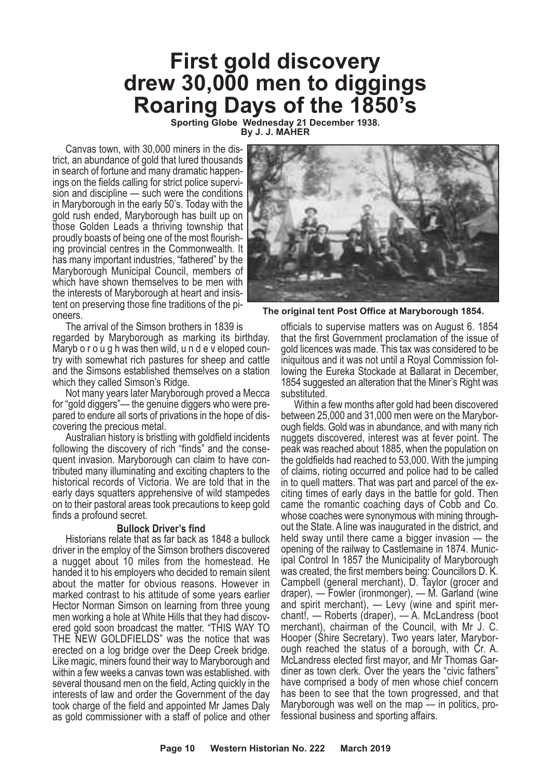### **First gold discovery drew 30,000 men to diggings Roaring Days of the 1850's**

**Sporting Globe Wednesday 21 December 1938. By J. J. MAHER**

Canvas town, with 30,000 miners in the district, an abundance of gold that lured thousands in search of fortune and many dramatic happenings on the fields calling for strict police supervision and discipline — such were the conditions in Maryborough in the early 50's. Today with the gold rush ended, Maryborough has built up on those Golden Leads a thriving township that proudly boasts of being one of the most flourishing provincial centres in the Commonwealth. It has many important industries, "fathered" by the Maryborough Municipal Council, members of which have shown themselves to be men with the interests of Maryborough at heart and insistent on preserving those fine traditions of the pioneers.

The arrival of the Simson brothers in 1839 is regarded by Maryborough as marking its birthday. Maryb o r o u g h was then wild, u n d e v eloped country with somewhat rich pastures for sheep and cattle and the Simsons established themselves on a station which they called Simson's Ridge.

Not many years later Maryborough proved a Mecca for "gold diggers"— the genuine diggers who were prepared to endure all sorts of privations in the hope of discovering the precious metal.

Australian history is bristling with goldfield incidents following the discovery of rich "finds" and the consequent invasion. Maryborough can claim to have contributed many illuminating and exciting chapters to the historical records of Victoria. We are told that in the early days squatters apprehensive of wild stampedes on to their pastoral areas took precautions to keep gold finds a profound secret.

#### **Bullock Driver's find**

Historians relate that as far back as 1848 a bullock driver in the employ of the Simson brothers discovered a nugget about 10 miles from the homestead. He handed it to his employers who decided to remain silent about the matter for obvious reasons. However in marked contrast to his attitude of some years earlier Hector Norman Simson on learning from three young men working <sup>a</sup> hole at White Hills that they had discov- ered gold soon broadcast the matter. "THIS WAY TO THE NEW GOLDFIELDS" was the notice that was erected on a log bridge over the Deep Creek bridge. Like magic, miners found their way to Maryborough and within a few weeks a canvas town was established. with several thousand men on the field, Acting quickly in the interests of law and order the Government of the day took charge of the field and appointed Mr James Daly as gold commissioner with a staff of police and other



**The original tent Post Office at Maryborough 1854.**

officials to supervise matters was on August 6. 1854 that the first Government proclamation of the issue of gold licences was made. This tax was considered to be iniquitous and it was not until a Royal Commission following the Eureka Stockade at Ballarat in December, 1854 suggested an alteration that the Miner's Right was substituted.

Within a few months after gold had been discovered between 25,000 and 31,000 men were on the Maryborough fields. Gold was in abundance, and with many rich nuggets discovered, interest was at fever point. The peak was reached about 1885, when the population on the goldfields had reached to 53,000. With the jumping of claims, rioting occurred and police had to be called in to quell matters. That was part and parcel of the ex- citing times of early days in the battle for gold. Then came the romantic coaching days of Cobb and Co. whose coaches were synonymous with mining through- out the State. <sup>A</sup> line was inaugurated in the district, and held sway until there came a bigger invasion — the opening of the railway to Castlemaine in 1874. Munic-<br>ipal Control In 1857 the Municipality of Maryborough<br>was created, the first members being: Councillors D. K. Campbell (general merchant), D. Taylor (grocer and draper), — Fowler (ironmonger), — M. Garland (wine and spirit merchant), — Levy (wine and spirit merchant!, — Roberts (draper), — A. McLandress (boot merchant), chairman of the Council, with Mr J. C. Hooper (Shire Secretary). Two years later, Maryborough reached the status of a borough, with Cr. A. McLandress elected first mayor, and Mr Thomas Gardiner as town clerk. Over the years the "civic fathers" have comprised a body of men whose chief concern has been to see that the town progressed, and that Maryborough was well on the map — in politics, pro- fessional business and sporting affairs.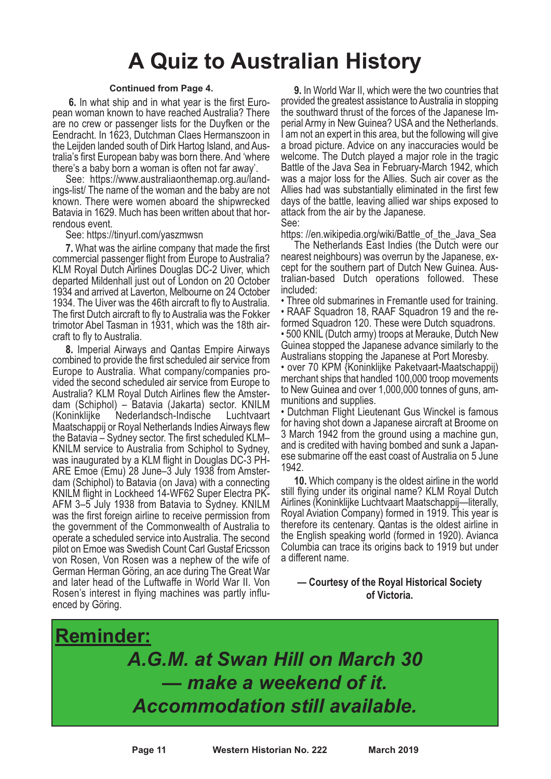# **A Quiz to Australian History**

#### **Continued from Page 4.**

**6.** In what ship and in what year is the first Euro- pean woman known to have reached Australia? There are no crew or passenger lists for the Duyfken or the Eendracht. In 1623, Dutchman Claes Hermanszoon in the Leijden landed south of Dirk Hartog Island, and Australia's first European baby was born there. And 'where there's a baby born a woman is often not far away'.

See: https://www.australiaonthemap.org.au/landings-list/ The name of the woman and the baby are not known. There were women aboard the shipwrecked Batavia in 1629. Much has been written about that hor- rendous event. See: https://tinyurl.com/yaszmwsn

**7.** What was the airline company that made the first commercial passenger flight from Europe to Australia? KLM Royal Dutch Airlines Douglas DC-2 Uiver, which departed Mildenhall just out of London on 20 October 1934 and arrived at Laverton, Melbourne on 24 October 1934. The Uiver was the 46th aircraft to fly to Australia. The first Dutch aircraft to fly to Australia was the Fokker trimotor Abel Tasman in 1931, which was the 18th air- craft to fly to Australia.

**8.** Imperial Airways and Qantas Empire Airways combined to provide the first scheduled air service from Europe to Australia. What company/companies provided the second scheduled air service from Europe to Australia? KLM Royal Dutch Airlines flew the Amsterdam (Schiphol) – Batavia (Jakarta) sector. KNILM (Koninklijke Nederlandsch-Indische Luchtvaart Maatschappij or Royal Netherlands Indies Airways flew the Batavia – Sydney sector. The first scheduled KLM– KNILM service to Australia from Schiphol to Sydney, was inaugurated by a KLM flight in Douglas DC-3 PH-ARE Emoe (Emu) 28 June–3 July 1938 from Amsterdam (Schiphol) to Batavia (on Java) with a connecting KNILM flight in Lockheed 14-WF62 Super Electra PK-AFM 3–5 July 1938 from Batavia to Sydney. KNILM was the first foreign airline to receive permission from the government of the Commonwealth of Australia to operate a scheduled service into Australia. The second pilot on Emoe was Swedish Count Carl Gustaf Ericsson von Rosen, Von Rosen was a nephew of the wife of German Herman Göring, an ace during The Great War and later head of the Luftwaffe in World War II. Von Rosen's interest in flying machines was partly influenced by Göring.

**9.** In World War II, which were the two countries that provided the greatest assistance to Australia in stopping the southward thrust of the forces of the Japanese Imperial Army in New Guinea? USA and the Netherlands. I am not an expert in this area, but the following will give a broad picture. Advice on any inaccuracies would be welcome. The Dutch played a major role in the tragic Battle of the Java Sea in February-March 1942, which was a major loss for the Allies. Such air cover as the Allies had was substantially eliminated in the first few days of the battle, leaving allied war ships exposed to attack from the air by the Japanese. See:

https: //en.wikipedia.org/wiki/Battle\_of\_the\_Java\_Sea

The Netherlands East Indies (the Dutch were our nearest neighbours) was overrun by the Japanese, except for the southern part of Dutch New Guinea. Australian-based Dutch operations followed. These included:

• Three old submarines in Fremantle used for training. • RAAF Squadron 18, RAAF Squadron <sup>19</sup> and the re-

formed Squadron 120. These were Dutch squadrons. • 500 KNIL (Dutch army) troops at Merauke, Dutch New Guinea stopped the Japanese advance similarly to the

Australians stopping the Japanese at Port Moresby. • over 70 KPM {Koninklijke Paketvaart-Maatschappij) merchant ships that handled 100,000 troop movements to New Guinea and over 1,000,000 tonnes of guns, am-

munitions and supplies. • Dutchman Flight Lieutenant Gus Winckel is famous for having shot down a Japanese aircraft at Broome on 3 March 1942 from the ground using a machine gun,

and is credited with having bombed and sunk <sup>a</sup> Japan- ese submarine off the east coast of Australia on <sup>5</sup> June 1942.

**10.** Which company is the oldest airline in the world still flying under its original name? KLM Royal Dutch Airlines (Koninklijke Luchtvaart Maatschappij—literally, Royal Aviation Company) formed in 1919. This year is therefore its centenary. Qantas is the oldest airline in the English speaking world (formed in 1920). Avianca Columbia can trace its origins back to 1919 but under a different name.

#### **— Courtesy of the Royal Historical Society of Victoria.**

**Reminder:** *A.G.M. at Swan Hill on March 30 — make a weekend of it. Accommodation still available.*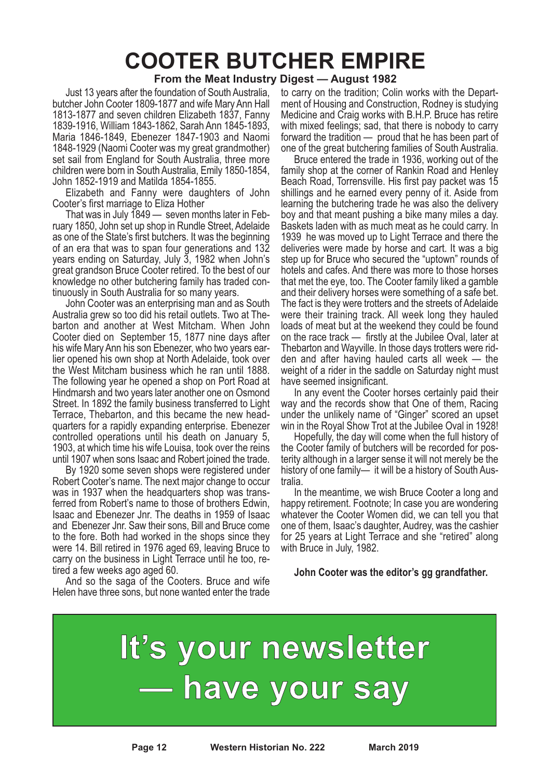# **COOTER BUTCHER EMPIRE**

#### **From the Meat Industry Digest — August 1982**

Just 13 years after the foundation of South Australia, butcher John Cooter 1809-1877 and wife Mary Ann Hall 1813-1877 and seven children Elizabeth 1837, Fanny 1839-1916, William 1843-1862, Sarah Ann 1845-1893, Maria 1846-1849, Ebenezer 1847-1903 and Naomi 1848-1929 (Naomi Cooter was my great grandmother) set sail from England for South Australia, three more children were born in South Australia, Emily 1850-1854, John 1852-1919 and Matilda 1854-1855.

Elizabeth and Fanny were daughters of John Cooter's first marriage to Eliza Hother

That was in July 1849 — seven months later in February 1850, John set up shop in Rundle Street, Adelaide as one of the State's first butchers. It was the beginning of an era that was to span four generations and 132 years ending on Saturday, July 3, 1982 when John's great grandson Bruce Cooter retired. To the best of our knowledge no other butchering family has traded continuously in South Australia for so many years.

John Cooter was an enterprising man and as South Australia grew so too did his retail outlets. Two at Thebarton and another at West Mitcham. When John Cooter died on September 15, 1877 nine days after his wife Mary Ann his son Ebenezer, who two years earlier opened his own shop at North Adelaide, took over the West Mitcham business which he ran until 1888. The following year he opened a shop on Port Road at Hindmarsh and two years later another one on Osmond Street. In 1892 the family business transferred to Light Terrace, Thebarton, and this became the new headquarters for a rapidly expanding enterprise. Ebenezer controlled operations until his death on January 5, 1903, at which time his wife Louisa, took over the reins until 1907 when sons Isaac and Robert joined the trade.

By 1920 some seven shops were registered under Robert Cooter's name. The next major change to occur was in 1937 when the headquarters shop was trans-<br>ferred from Robert's name to those of brothers Edwin,<br>Isaac and Ebenezer Jnr. The deaths in 1959 of Isaac and Ebenezer Jnr. Saw their sons, Bill and Bruce come to the fore. Both had worked in the shops since they were 14. Bill retired in 1976 aged 69, leaving Bruce to carry on the business in Light Terrace until he too, re-<br>tired a few weeks ago aged 60.<br>And so the saga of the Cooters. Bruce and wife

Helen have three sons, but none wanted enter the trade

to carry on the tradition; Colin works with the Department of Housing and Construction, Rodney is studying Medicine and Craig works with B.H.P. Bruce has retire with mixed feelings; sad, that there is nobody to carry forward the tradition — proud that he has been part of one of the great butchering families of South Australia.

Bruce entered the trade in 1936, working out of the family shop at the corner of Rankin Road and Henley Beach Road, Torrensville. His first pay packet was 15 shillings and he earned every penny of it. Aside from learning the butchering trade he was also the delivery boy and that meant pushing a bike many miles a day. Baskets laden with as much meat as he could carry. In 1939 he was moved up to Light Terrace and there the deliveries were made by horse and cart. It was a big step up for Bruce who secured the "uptown" rounds of hotels and cafes. And there was more to those horses that met the eye, too. The Cooter family liked a gamble and their delivery horses were something of a safe bet. The fact is they were trotters and the streets of Adelaide were their training track. All week long they hauled loads of meat but at the weekend they could be found on the race track — firstly at the Jubilee Oval, later at Thebarton and Wayville. In those days trotters were ridden and after having hauled carts all week — the weight of a rider in the saddle on Saturday night must have seemed insignificant.

In any event the Cooter horses certainly paid their way and the records show that One of them, Racing under the unlikely name of "Ginger" scored an upset win in the Royal Show Trot at the Jubilee Oval in 1928!

Hopefully, the day will come when the full history of the Cooter family of butchers will be recorded for posterity although in a larger sense it will not merely be the history of one family— it will be a history of South Aus-<br>tralia.

In the meantime, we wish Bruce Cooter a long and happy retirement. Footnote; In case you are wondering whatever the Cooter Women did, we can tell you that one of them, Isaac's daughter, Audrey, was the cashier for 25 years at Light Terrace and she "retired" along with Bruce in July, 1982.

**John Cooter was the editor's gg grandfather.**

# **It's your newsletter — have your say**

**Page 12 Western Historian No. 222 March 2019**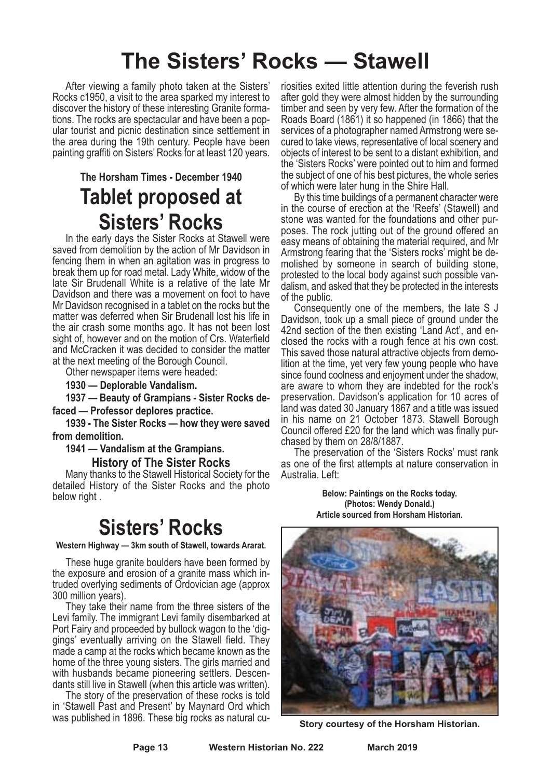# **The Sisters' Rocks — Stawell**

After viewing a family photo taken at the Sisters' Rocks c1950, a visit to the area sparked my interest to discover the history of these interesting Granite formations. The rocks are spectacular and have been a popular tourist and picnic destination since settlement in the area during the 19th century. People have been painting graffiti on Sisters' Rocks for at least 120 years.

### **The Horsham Times - December 1940 Tablet proposed at Sisters' Rocks**

In the early days the Sister Rocks at Stawell were saved from demolition by the action of Mr Davidson in fencing them in when an agitation was in progress to break them up for road metal. Lady White, widow of the late Sir Brudenall White is a relative of the late Mr Davidson and there was a movement on foot to have Mr Davidson recognised in a tablet on the rocks but the matter was deferred when Sir Brudenall lost his life in the air crash some months ago. It has not been lost sight of, however and on the motion of Crs. Waterfield and McCracken it was decided to consider the matter at the next meeting of the Borough Council.

Other newspaper items were headed:

**1930 — Deplorable Vandalism.**

**1937 — Beauty of Grampians - Sister Rocks defaced — Professor deplores practice.**

**1939 - The Sister Rocks — how they were saved from demolition.**

**1941 — Vandalism at the Grampians.**

**History of The Sister Rocks**

Many thanks to the Stawell Historical Society for the detailed History of the Sister Rocks and the photo below right .

### **Sisters' Rocks**

**Western Highway — 3km south of Stawell, towards Ararat.**

These huge granite boulders have been formed by the exposure and erosion of a granite mass which intruded overlying sediments of Ordovician age (approx 300 million years).

They take their name from the three sisters of the Levi family. The immigrant Levi family disembarked at Port Fairy and proceeded by bullock wagon to the 'diggings' eventually arriving on the Stawell field. They made a camp at the rocks which became known as the home of the three young sisters. The girls married and with husbands became pioneering settlers. Descendants still live in Stawell (when this article was written).

The story of the preservation of these rocks is told in 'Stawell Past and Present' by Maynard Ord which was published in 1896. These big rocks as natural cu-

riosities exited little attention during the feverish rush after gold they were almost hidden by the surrounding timber and seen by very few. After the formation of the Roads Board (1861) it so happened (in 1866) that the services of a photographer named Armstrong were secured to take views, representative of local scenery and objects of interest to be sent to a distant exhibition, and the 'Sisters Rocks' were pointed out to him and formed the subject of one of his best pictures, the whole series of which were later hung in the Shire Hall.

By this time buildings of a permanent character were in the course of erection at the 'Reefs' (Stawell) and stone was wanted for the foundations and other purposes. The rock jutting out of the ground offered an easy means of obtaining the material required, and Mr Armstrong fearing that the 'Sisters rocks' might be demolished by someone in search of building stone, protested to the local body against such possible vandalism, and asked that they be protected in the interests of the public.

Consequently one of the members, the late S J Davidson, took up a small piece of ground under the closed the rocks with a rough fence at his own cost.<br>This saved those natural attractive objects from demo-<br>lition at the time, yet very few young people who have since found coolness and enjoyment under the shadow, are aware to whom they are indebted for the rock's preservation. Davidson's application for 10 acres of land was dated 30 January 1867 and a title was issued in his name on 21 October 1873. Stawell Borough Council offered £20 for the land which was finally pur- chased by them on 28/8/1887. The preservation of the 'Sisters Rocks' must rank

as one of the first attempts at nature conservation in Australia. Left:

> **Below: Paintings on the Rocks today. (Photos: Wendy Donald.) Article sourced from Horsham Historian.**



**Story courtesy of the Horsham Historian.**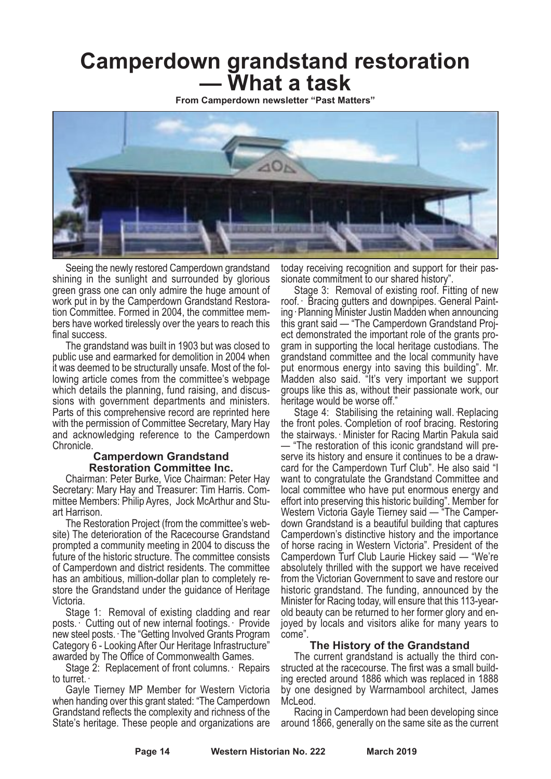# **Camperdown grandstand restoration — What <sup>a</sup> task**

**From Camperdown newsletter "Past Matters"**



Seeing the newly restored Camperdown grandstand shining in the sunlight and surrounded by glorious green grass one can only admire the huge amount of work put in by the Camperdown Grandstand Restoration Committee. Formed in 2004, the committee members have worked tirelessly over the years to reach this

final success. The grandstand was built in <sup>1903</sup> but was closed to public use and earmarked for demolition in 2004 when it was deemed to be structurally unsafe. Most of the fol- lowing article comes from the committee's webpage which details the planning, fund raising, and discus-<br>sions with government departments and ministers.<br>Parts of this comprehensive record are reprinted here with the permission of Committee Secretary, Mary Hay and acknowledging reference to the Camperdown Chronicle.

#### **Camperdown Grandstand Restoration Committee Inc.**

Chairman: Peter Burke, Vice Chairman: Peter Hay Secretary: Mary Hay and Treasurer: Tim Harris. Committee Members: Philip Ayres, Jock McArthur and Stuart Harrison.

The Restoration Project (from the committee's website) The deterioration of the Racecourse Grandstand prompted a community meeting in 2004 to discuss the future of the historic structure. The committee consists of Camperdown and district residents. The committee has an ambitious, million-dollar plan to completely restore the Grandstand under the guidance of Heritage

Victoria. Stage 1: Removal of existing cladding and rear posts.· Cutting out of new internal footings.· Provide new steel posts.· The "Getting Involved Grants Program Category 6 - Looking After Our Heritage Infrastructure"<br>awarded by The Office of Commonwealth Games.<br>Stage 2: Replacement of front columns.· Repairs

to turret.· Gayle Tierney MP Member for Western Victoria when handing over this grant stated: "The Camperdown Grandstand reflects the complexity and richness of the State's heritage. These people and organizations are

today receiving recognition and support for their pas-<br>sionate commitment to our shared history".<br>Stage 3: Removal of existing roof. Fitting of new

roof. · Bracing gutters and downpipes. General Paint-<br>ing · Planning Minister Justin Madden when announcing this grant said — "The Camperdown Grandstand Proj- ect demonstrated the important role of the grants pro- gram in supporting the local heritage custodians. The grandstand committee and the local community have put enormous energy into saving this building". Mr. Madden also said. "It's very important we support groups like this as, without their passionate work, our

Stage 4: Stabilising the retaining wall. Replacing the front poles. Completion of roof bracing. Restoring the stairways.· Minister for Racing Martin Pakula said — "The restoration of this iconic grandstand will preserve its history and ensure it continues to be a drawcard for the Camperdown Turf Club". He also said "I want to congratulate the Grandstand Committee and local committee who have put enormous energy and effort into preserving this historic building". Member for Western Victoria Gayle Tierney said — "The Camperdown Grandstand is a beautiful building that captures Camperdown's distinctive history and the importance of horse racing in Western Victoria". President of the Camperdown Turf Club Laurie Hickey said — "We're absolutely thrilled with the support we have received from the Victorian Government to save and restore our historic grandstand. The funding, announced by the Minister for Racing today, will ensure that this 113-yearold beauty can be returned to her former glory and en-<br>joyed by locals and visitors alike for many years to come".

**The History of the Grandstand**<br>The current grandstand is actually the third constructed at the racecourse. The first was a small build-<br>ing erected around 1886 which was replaced in 1888 by one designed by Warrnambool architect, James McLeod.

Racing in Camperdown had been developing since around 1866, generally on the same site as the current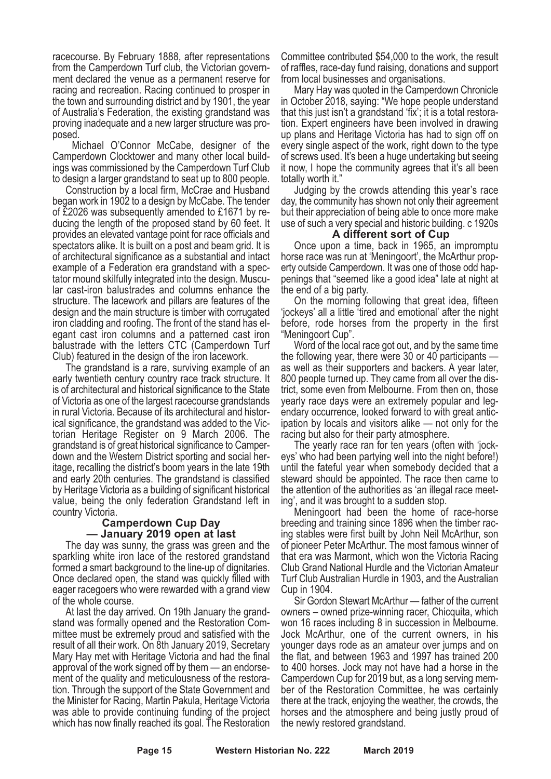racecourse. By February 1888, after representations from the Camperdown Turf club, the Victorian govern- ment declared the venue as <sup>a</sup> permanent reserve for racing and recreation. Racing continued to prosper in the town and surrounding district and by 1901, the year of Australia's Federation, the existing grandstand was proving inadequate and <sup>a</sup> new larger structure was pro- posed.

Michael O'Connor McCabe, designer of the Camperdown Clocktower and many other local build- ings was commissioned by the Camperdown Turf Club

to design <sup>a</sup> larger grandstand to seat up to <sup>800</sup> people. Construction by <sup>a</sup> local firm, McCrae and Husband began work in 1902 to a design by McCabe. The tender of £2026 was subsequently amended to £1671 by reducing the length of the proposed stand by 60 feet. It provides an elevated vantage point for race officials and spectators alike. It is built on a post and beam grid. It is of architectural significance as a substantial and intact example of a Federation era grandstand with a spectator mound skilfully integrated into the design. Muscular cast-iron balustrades and columns enhance the structure. The lacework and pillars are features of the design and the main structure is timber with corrugated iron cladding and roofing. The front of the stand has elegant cast iron columns and a patterned cast iron balustrade with the letters CTC (Camperdown Turf Club) featured in the design of the iron lacework.

The grandstand is a rare, surviving example of an early twentieth century country race track structure. It is of architectural and historical significance to the State of Victoria as one of the largest racecourse grandstands in rural Victoria. Because of its architectural and historical significance, the grandstand was added to the Victorian Heritage Register on 9 March 2006. The grandstand is of great historical significance to Camperdown and the Western District sporting and social heritage, recalling the district's boom years in the late 19th and early 20th centuries. The grandstand is classified by Heritage Victoria as a building of significant historical value, being the only federation Grandstand left in country Victoria.

#### **Camperdown Cup Day — January 2019 open at last**

The day was sunny, the grass was green and the sparkling white iron lace of the restored grandstand formed <sup>a</sup> smart background to the line-up of dignitaries. Once declared open, the stand was quickly filled with eager racegoers who were rewarded with a grand view of the whole course.

At last the day arrived. On 19th January the grandstand was formally opened and the Restoration Committee must be extremely proud and satisfied with the result of all their work. On 8th January 2019, Secretary Mary Hay met with Heritage Victoria and had the final approval of the work signed off by them — an endorsement of the quality and meticulousness of the restoration. Through the support of the State Government and the Minister for Racing, Martin Pakula, Heritage Victoria was able to provide continuing funding of the project which has now finally reached its goal. The Restoration

Committee contributed \$54,000 to the work, the result of raffles, race-day fund raising, donations and support from local businesses and organisations.

Mary Hay was quoted in the Camperdown Chronicle in October 2018, saying: "We hope people understand that this just isn't a grandstand 'fix'; it is a total restoration. Expert engineers have been involved in drawing up plans and Heritage Victoria has had to sign off on every single aspect of the work, right down to the type of screws used. It's been a huge undertaking but seeing it now, I hope the community agrees that it's all been totally worth it."

Judging by the crowds attending this year's race day, the community has shown not only their agreement but their appreciation of being able to once more make use of such a very special and historic building. c 1920s

#### **A different sort of Cup**

Once upon a time, back in 1965, an impromptu horse race was run at 'Meningoort', the McArthur property outside Camperdown. It was one of those odd happenings that "seemed like a good idea" late at night at

the end of a big party.<br>On the morning following that great idea, fifteen 'jockeys' all a little tired and emotional' after the night before, rode horses from the property in the first "Meningoort Cup".

Word of the local race got out, and by the same time the following year, there were 30 or 40 participants as well as their supporters and backers. A year later, 800 people turned up. They came from all over the district, some even from Melbourne. From then on, those yearly race days were an extremely popular and legendary occurrence, looked forward to with great antic-<br>ipation by locals and visitors alike — not only for the

racing but also for their party atmosphere. The yearly race ran for ten years (often with 'jock- eys' who had been partying well into the night before!) until the fateful year when somebody decided that a steward should be appointed. The race then came to the attention of the authorities as 'an illegal race meeting', and it was brought to a sudden stop.

Meningoort had been the home of race-horse breeding and training since 1896 when the timber racing stables were first built by John Neil McArthur, son of pioneer Peter McArthur. The most famous winner of that era was Marmont, which won the Victoria Racing Club Grand National Hurdle and the Victorian Amateur Turf Club Australian Hurdle in 1903, and the Australian Cup in 1904.

Sir Gordon Stewart McArthur — father of the current owners – owned prize-winning racer, Chicquita, which won <sup>16</sup> races including <sup>8</sup> in succession in Melbourne. Jock McArthur, one of the current owners, in his younger days rode as an amateur over jumps and on the flat, and between 1963 and 1997 has trained 200 to 400 horses. Jock may not have had a horse in the Camperdown Cup for <sup>2019</sup> but, as <sup>a</sup> long serving mem- ber of the Restoration Committee, he was certainly there at the track, enjoying the weather, the crowds, the horses and the atmosphere and being justly proud of the newly restored grandstand.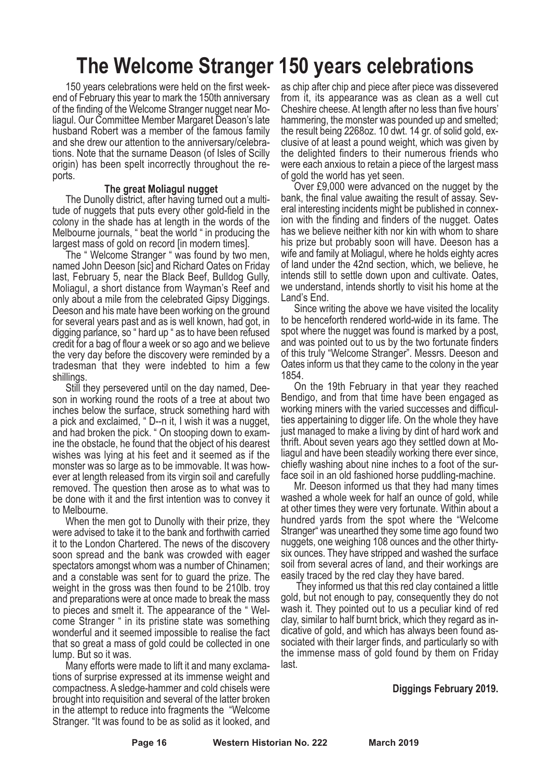# **The Welcome Stranger 150 years celebrations**

150 years celebrations were held on the first weekend of February this year to mark the 150th anniversary of the finding of the Welcome Stranger nugget near Moliagul. Our Committee Member Margaret Deason's late husband Robert was a member of the famous family and she drew our attention to the anniversary/celebrations. Note that the surname Deason (of Isles of Scilly origin) has been spelt incorrectly throughout the reports.

#### **The great Moliagul nugget**

The Dunolly district, after having turned out a multitude of nuggets that puts every other gold-field in the colony in the shade has at length in the words of the Melbourne journals, " beat the world " in producing the largest mass of gold on record [in modern times].

The " Welcome Stranger " was found by two men, named John Deeson [sic] and Richard Oates on Friday last, February 5, near the Black Beef, Bulldog Gully, Moliagul, a short distance from Wayman's Reef and only about a mile from the celebrated Gipsy Diggings. Deeson and his mate have been working on the ground for several years past and as is well known, had got, in digging parlance, so " hard up " as to have been refused credit for a bag of flour a week or so ago and we believe the very day before the discovery were reminded by a tradesman that they were indebted to him a few shillings.

Still they persevered until on the day named, Deeson in working round the roots of a tree at about two inches below the surface, struck something hard with <sup>a</sup> pick and exclaimed, " D--n it, <sup>I</sup> wish it was <sup>a</sup> nugget, and had broken the pick. " On stooping down to examine the obstacle, he found that the object of his dearest wishes was lying at his feet and it seemed as if the monster was so large as to be immovable. It was however at length released from its virgin soil and carefully removed. The question then arose as to what was to be done with it and the first intention was to convey it to Melbourne.

When the men got to Dunolly with their prize, they were advised to take it to the bank and forthwith carried it to the London Chartered. The news of the discovery soon spread and the bank was crowded with eager spectators amongst whom was a number of Chinamen; and a constable was sent for to guard the prize. The weight in the gross was then found to be 210lb. troy and preparations were at once made to break the mass to pieces and smelt it. The appearance of the " Welcome Stranger " in its pristine state was something wonderful and it seemed impossible to realise the fact that so great a mass of gold could be collected in one lump. But so it was.

Many efforts were made to lift it and many exclamations of surprise expressed at its immense weight and compactness. A sledge-hammer and cold chisels were brought into requisition and several of the latter broken in the attempt to reduce into fragments the "Welcome Stranger. "It was found to be as solid as it looked, and

as chip after chip and piece after piece was dissevered from it, its appearance was as clean as a well cut Cheshire cheese. At length after no less than five hours' hammering, the monster was pounded up and smelted; the result being 2268oz. <sup>10</sup> dwt. <sup>14</sup> gr. of solid gold, ex- clusive of at least <sup>a</sup> pound weight, which was given by the delighted finders to their numerous friends who were each anxious to retain a piece of the largest mass of gold the world has yet seen.

Over £9,000 were advanced on the nugget by the bank, the final value awaiting the result of assay. Several interesting incidents might be published in connexion with the finding and finders of the nugget. Oates has we believe neither kith nor kin with whom to share his prize but probably soon will have. Deeson has a wife and family at Moliagul, where he holds eighty acres of land under the 42nd section, which, we believe, he intends still to settle down upon and cultivate. Oates, we understand, intends shortly to visit his home at the Land's End.

Since writing the above we have visited the locality to be henceforth rendered world-wide in its fame. The spot where the nugget was found is marked by a post, and was pointed out to us by the two fortunate finders of this truly "Welcome Stranger". Messrs. Deeson and Oates inform us that they came to the colony in the year 1854.

On the 19th February in that year they reached Bendigo, and from that time have been engaged as working miners with the varied successes and difficulties appertaining to digger life. On the whole they have just managed to make a living by dint of hard work and thrift. About seven years ago they settled down at Moliagul and have been steadily working there ever since, chiefly washing about nine inches to a foot of the surface soil in an old fashioned horse puddling-machine.

Mr. Deeson informed us that they had many times washed a whole week for half an ounce of gold, while at other times they were very fortunate. Within about a hundred yards from the spot where the "Welcome Stranger" was unearthed they some time ago found two nuggets, one weighing 108 ounces and the other thirtysix ounces. They have stripped and washed the surface soil from several acres of land, and their workings are

easily traced by the red clay they have bared. They informed us that this red clay contained <sup>a</sup> little gold, but not enough to pay, consequently they do not wash it. They pointed out to us a peculiar kind of red clay, similar to half burnt brick, which they regard as indicative of gold, and which has always been found associated with their larger finds, and particularly so with the immense mass of gold found by them on Friday last.

#### **Diggings February 2019.**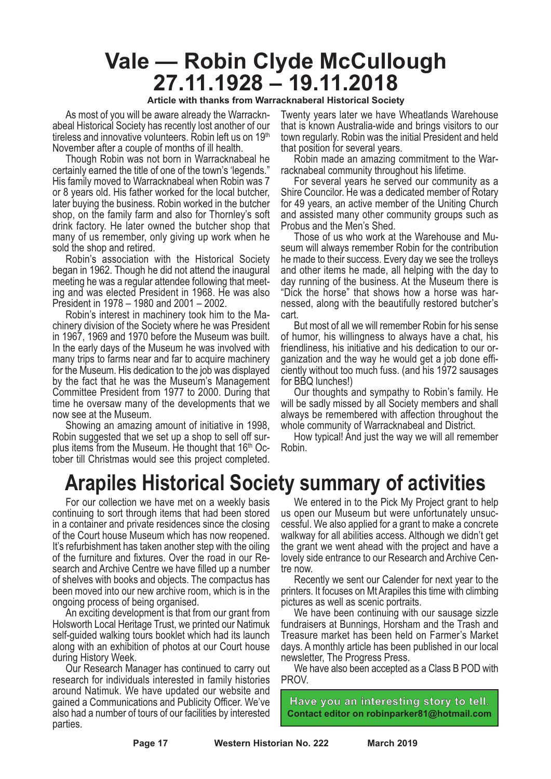### **Vale — Robin Clyde McCullough 27.11.1928 – 19.11.2018**

#### **Article with thanks from Warracknaberal Historical Society**

As most of you will be aware already the Warracknabeal Historical Society has recently lost another of our tireless and innovative volunteers. Robin left us on 19<sup>th</sup> November after a couple of months of ill health.

Though Robin was not born in Warracknabeal he certainly earned the title of one of the town's 'legends." His family moved to Warracknabeal when Robin was 7 or 8 years old. His father worked for the local butcher, later buying the business. Robin worked in the butcher shop, on the family farm and also for Thornley's soft drink factory. He later owned the butcher shop that many of us remember, only giving up work when he sold the shop and retired.

Robin's association with the Historical Society began in 1962. Though he did not attend the inaugural meeting he was a regular attendee following that meeting and was elected President in 1968. He was also President in 1978 – 1980 and 2001 – 2002.

Robin's interest in machinery took him to the Machinery division of the Society where he was President in 1967, 1969 and 1970 before the Museum was built. In the early days of the Museum he was involved with many trips to farms near and far to acquire machinery for the Museum. His dedication to the job was displayed by the fact that he was the Museum's Management Committee President from 1977 to 2000. During that time he oversaw many of the developments that we now see at the Museum.

Showing an amazing amount of initiative in 1998, Robin suggested that we set up a shop to sell off surplus items from the Museum. He thought that 16<sup>th</sup> Oc-<br>tober till Christmas would see this project completed.

Twenty years later we have Wheatlands Warehouse that is known Australia-wide and brings visitors to our town regularly. Robin was the initial President and held that position for several years.

Robin made an amazing commitment to the Warracknabeal community throughout his lifetime.

For several years he served our community as a Shire Councilor. He was a dedicated member of Rotary for 49 years, an active member of the Uniting Church and assisted many other community groups such as Probus and the Men's Shed.

Those of us who work at the Warehouse and Museum will always remember Robin for the contribution he made to their success. Every day we see the trolleys and other items he made, all helping with the day to day running of the business. At the Museum there is "Dick the horse" that shows how a horse was harnessed, along with the beautifully restored butcher's cart.

But most of all we will remember Robin for his sense of humor, his willingness to always have a chat, his ganization and the way he would get a job done effi-<br>ciently without too much fuss. (and his 1972 sausages for BBQ lunches!)

Our thoughts and sympathy to Robin's family. He will be sadly missed by all Society members and shall always be remembered with affection throughout the

whole community of Warracknabeal and District. How typical! And just the way we will all remember Robin.

### **Arapiles Historical Society summary of activities**

For our collection we have met on a weekly basis continuing to sort through items that had been stored in a container and private residences since the closing of the Court house Museum which has now reopened. It's refurbishment has taken another step with the oiling of the furniture and fixtures. Over the road in our Re- search and Archive Centre we have filled up <sup>a</sup> number of shelves with books and objects. The compactus has been moved into our new archive room, which is in the

ongoing process of being organised. An exciting development is that from our grant from Holsworth Local Heritage Trust, we printed our Natimuk self-guided walking tours booklet which had its launch along with an exhibition of photos at our Court house during History Week. Our Research Manager has continued to carry out

research for individuals interested in family histories around Natimuk. We have updated our website and gained a Communications and Publicity Officer. We've also had a number of tours of our facilities by interested parties.

We entered in to the Pick My Project grant to help us open our Museum but were unfortunately unsuc- cessful. We also applied for <sup>a</sup> grant to make <sup>a</sup> concrete walkway for all abilities access. Although we didn't get the grant we went ahead with the project and have a lovely side entrance to our Research and Archive Cen- tre now. Recently we sent our Calender for next year to the

printers. It focuses on Mt Arapiles this time with climbing

pictures as well as scenic portraits. We have been continuing with our sausage sizzle fundraisers at Bunnings, Horsham and the Trash and Treasure market has been held on Farmer's Market days. Amonthly article has been published in our local

newsletter, The Progress Press. We have also been accepted as <sup>a</sup> Class <sup>B</sup> POD with PROV.



**Page 17 Western Historian No. 222 March 2019**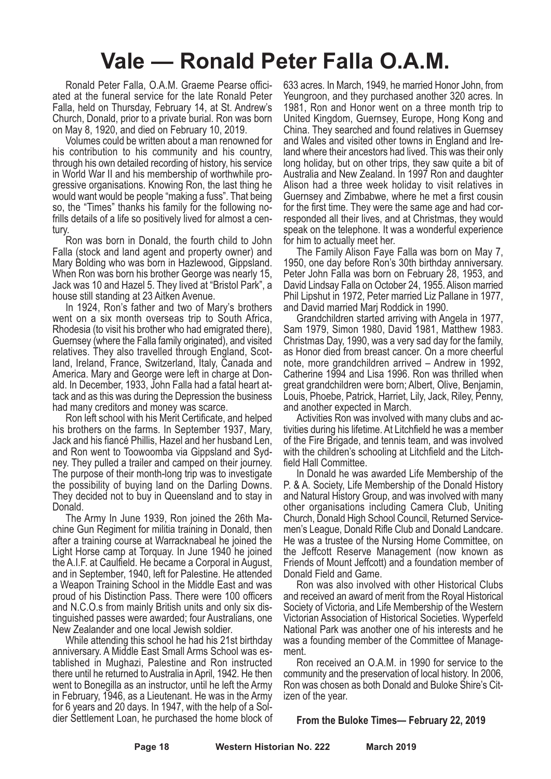## **Vale — Ronald Peter Falla O.A.M.**

Ronald Peter Falla, O.A.M. Graeme Pearse officiated at the funeral service for the late Ronald Peter Falla, held on Thursday, February 14, at St. Andrew's Church, Donald, prior to a private burial. Ron was born on May 8, 1920, and died on February 10, 2019.

Volumes could be written about a man renowned for his contribution to his community and his country, through his own detailed recording of history, his service in World War II and his membership of worthwhile progressive organisations. Knowing Ron, the last thing he would want would be people "making a fuss". That being so, the "Times" thanks his family for the following nofrills details of a life so positively lived for almost a century.

Ron was born in Donald, the fourth child to John Falla (stock and land agent and property owner) and Mary Bolding who was born in Hazlewood, Gippsland. When Ron was born his brother George was nearly 15, Jack was 10 and Hazel 5. They lived at "Bristol Park", a house still standing at 23 Aitken Avenue.

In 1924, Ron's father and two of Mary's brothers went on a six month overseas trip to South Africa, Rhodesia (to visit his brother who had emigrated there), Guernsey (where the Falla family originated), and visited relatives. They also travelled through England, Scotland, Ireland, France, Switzerland, Italy, Canada and America. Mary and George were left in charge at Donald. In December, 1933, John Falla had a fatal heart attack and as this was during the Depression the business had many creditors and money was scarce.

Ron left school with his Merit Certificate, and helped his brothers on the farms. In September 1937, Mary, Jack and his fiancé Phillis, Hazel and her husband Len, and Ron went to Toowoomba via Gippsland and Sydney. They pulled a trailer and camped on their journey. The purpose of their month-long trip was to investigate the possibility of buying land on the Darling Downs. They decided not to buy in Queensland and to stay in Donald.

The Army In June 1939, Ron joined the 26th Machine Gun Regiment for militia training in Donald, then after a training course at Warracknabeal he joined the Light Horse camp at Torquay. In June 1940 he joined the A.I.F. at Caulfield. He became a Corporal in August, and in September, 1940, left for Palestine. He attended a Weapon Training School in the Middle East and was proud of his Distinction Pass. There were 100 officers and N.C.O.s from mainly British units and only six distinguished passes were awarded; four Australians, one New Zealander and one local Jewish soldier.

While attending this school he had his 21st birthday anniversary. A Middle East Small Arms School was established in Mughazi, Palestine and Ron instructed there until he returned to Australia in April, 1942. He then went to Bonegilla as an instructor, until he left the Army in February, 1946, as a Lieutenant. He was in the Army for 6 years and 20 days. In 1947, with the help of a Soldier Settlement Loan, he purchased the home block of 633 acres. In March, 1949, he married Honor John, from Yeungroon, and they purchased another 320 acres. In 1981, Ron and Honor went on a three month trip to United Kingdom, Guernsey, Europe, Hong Kong and China. They searched and found relatives in Guernsey and Wales and visited other towns in England and Ireland where their ancestors had lived. This was their only long holiday, but on other trips, they saw quite a bit of Australia and New Zealand. In 1997 Ron and daughter Alison had a three week holiday to visit relatives in Guernsey and Zimbabwe, where he met a first cousin for the first time. They were the same age and had corresponded all their lives, and at Christmas, they would speak on the telephone. It was a wonderful experience for him to actually meet her.

The Family Alison Faye Falla was born on May 7, 1950, one day before Ron's 30th birthday anniversary. Peter John Falla was born on February 28, 1953, and David Lindsay Falla on October 24, 1955. Alison married Phil Lipshut in 1972, Peter married Liz Pallane in 1977, and David married Marj Roddick in 1990.

Grandchildren started arriving with Angela in 1977, Sam 1979, Simon 1980, David 1981, Matthew 1983. Christmas Day, 1990, was a very sad day for the family, as Honor died from breast cancer. On a more cheerful note, more grandchildren arrived – Andrew in 1992, Catherine 1994 and Lisa 1996. Ron was thrilled when great grandchildren were born; Albert, Olive, Benjamin, Louis, Phoebe, Patrick, Harriet, Lily, Jack, Riley, Penny, and another expected in March.

Activities Ron was involved with many clubs and activities during his lifetime. At Litchfield he was a member of the Fire Brigade, and tennis team, and was involved with the children's schooling at Litchfield and the Litchfield Hall Committee.

In Donald he was awarded Life Membership of the P. & A. Society, Life Membership of the Donald History and Natural History Group, and was involved with many other organisations including Camera Club, Uniting Church, Donald High School Council, Returned Servicemen's League, Donald Rifle Club and Donald Landcare. He was a trustee of the Nursing Home Committee, on the Jeffcott Reserve Management (now known as Friends of Mount Jeffcott) and a foundation member of Donald Field and Game.

Ron was also involved with other Historical Clubs and received an award of merit from the Royal Historical Society of Victoria, and Life Membership of the Western Victorian Association of Historical Societies. Wyperfeld National Park was another one of his interests and he was a founding member of the Committee of Management.

Ron received an O.A.M. in 1990 for service to the community and the preservation of local history. In 2006, Ron was chosen as both Donald and Buloke Shire's Citizen of the year.

#### **From the Buloke Times— February 22, 2019**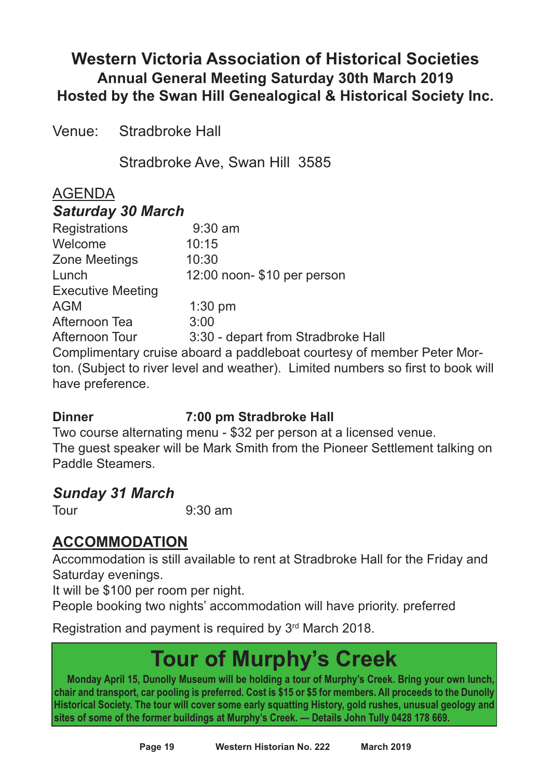### **Western Victoria Association of Historical Societies Annual General Meeting Saturday 30th March 2019 Hosted by the Swan Hill Genealogical & Historical Society Inc.**

Venue: Stradbroke Hall

Stradbroke Ave, Swan Hill 3585

### AGENDA

#### *Saturday 30 March*

| <b>Registrations</b>                                                             | $9:30$ am                          |  |  |  |
|----------------------------------------------------------------------------------|------------------------------------|--|--|--|
| Welcome                                                                          | 10:15                              |  |  |  |
| <b>Zone Meetings</b>                                                             | 10:30                              |  |  |  |
| Lunch                                                                            | 12:00 noon- \$10 per person        |  |  |  |
| <b>Executive Meeting</b>                                                         |                                    |  |  |  |
| <b>AGM</b>                                                                       | $1:30$ pm                          |  |  |  |
| Afternoon Tea                                                                    | 3:00                               |  |  |  |
| Afternoon Tour                                                                   | 3:30 - depart from Stradbroke Hall |  |  |  |
| Complimentary cruise aboard a paddleboat courtesy of member Peter Mor-           |                                    |  |  |  |
| ton. (Subject to river level and weather). Limited numbers so first to book will |                                    |  |  |  |
| have preference.                                                                 |                                    |  |  |  |

### **Dinner 7:00 pm Stradbroke Hall**

Two course alternating menu - \$32 per person at a licensed venue. The guest speaker will be Mark Smith from the Pioneer Settlement talking on Paddle Steamers.

### *Sunday 31 March*

Tour 9:30 am

### **ACCOMMODATION**

Accommodation is still available to rent at Stradbroke Hall for the Friday and Saturday evenings.

It will be \$100 per room per night.

People booking two nights' accommodation will have priority. preferred

Registration and payment is required by 3rd March 2018.

# **Tour of Murphy's Creek**

**Monday April 15, Dunolly Museum will be holding a tour of Murphy's Creek. Bring your own lunch,** chair and transport, car pooling is preferred. Cost is \$15 or \$5 for members. All proceeds to the Dunolly **Historical Society. The tour will cover some early squatting History, gold rushes, unusual geology and sites of some of the former buildings at Murphy's Creek. — Details John Tully 0428 178 669.**